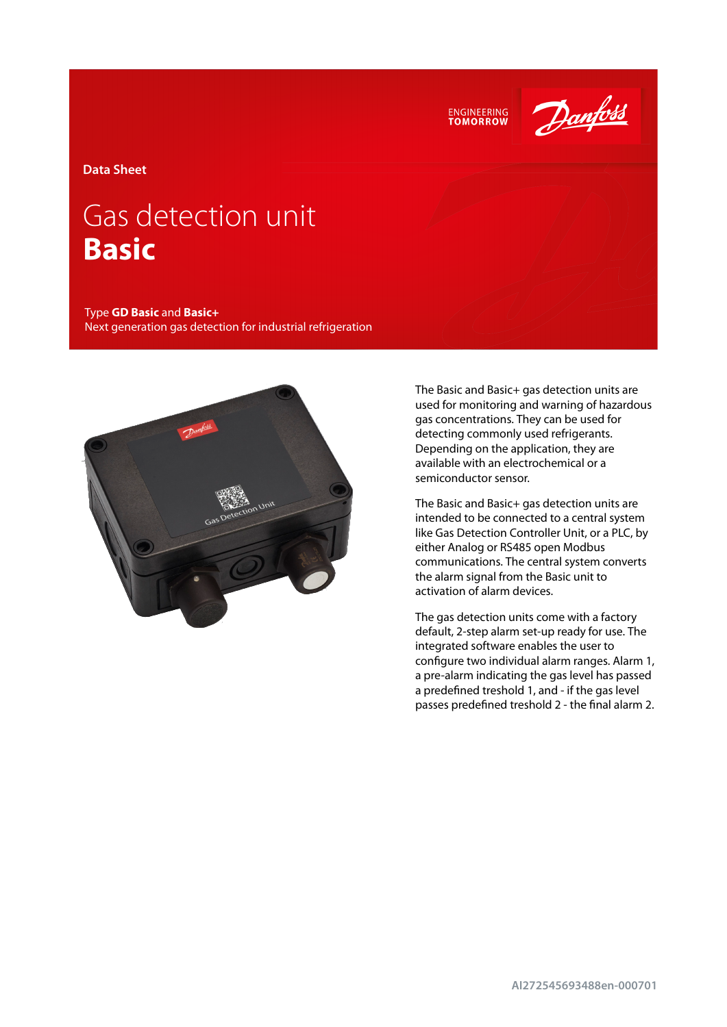



**Data Sheet**

# Gas detection unit **Basic**

Type **GD Basic** and **Basic+** Next generation gas detection for industrial refrigeration



The Basic and Basic+ gas detection units are used for monitoring and warning of hazardous gas concentrations. They can be used for detecting commonly used refrigerants. Depending on the application, they are available with an electrochemical or a semiconductor sensor.

The Basic and Basic+ gas detection units are intended to be connected to a central system like Gas Detection Controller Unit, or a PLC, by either Analog or RS485 open Modbus communications. The central system converts the alarm signal from the Basic unit to activation of alarm devices.

The gas detection units come with a factory default, 2-step alarm set-up ready for use. The integrated software enables the user to configure two individual alarm ranges. Alarm 1, a pre-alarm indicating the gas level has passed a predefined treshold 1, and - if the gas level passes predefined treshold 2 - the final alarm 2.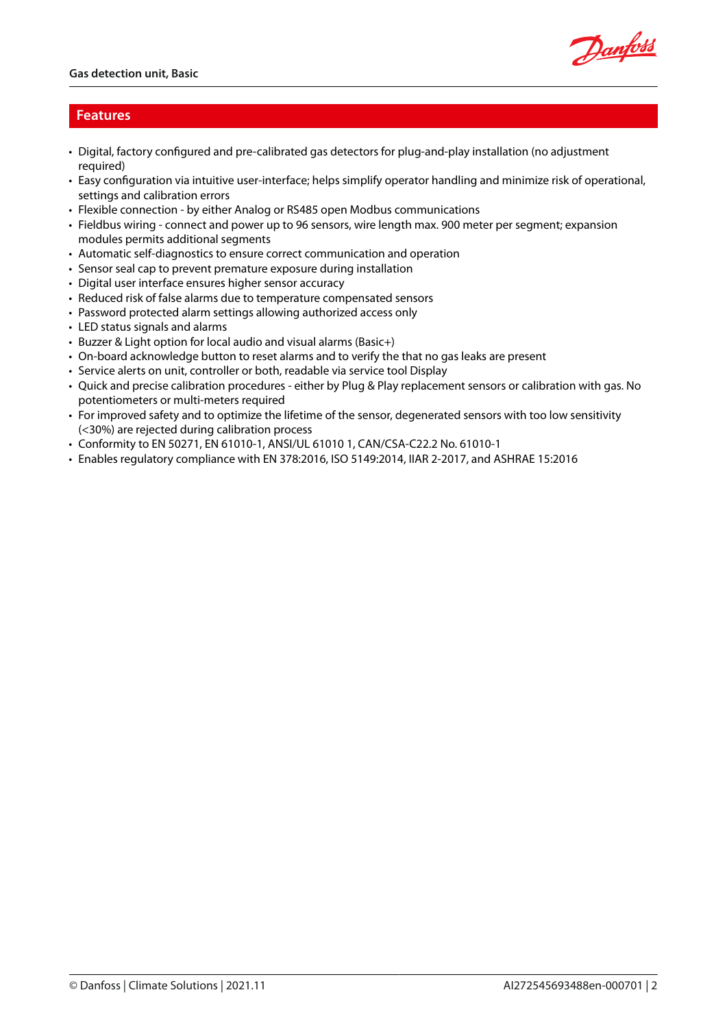

### **Features**

- Digital, factory configured and pre-calibrated gas detectors for plug-and-play installation (no adjustment required)
- Easy configuration via intuitive user-interface; helps simplify operator handling and minimize risk of operational, settings and calibration errors
- Flexible connection by either Analog or RS485 open Modbus communications
- Fieldbus wiring connect and power up to 96 sensors, wire length max. 900 meter per segment; expansion modules permits additional segments
- Automatic self-diagnostics to ensure correct communication and operation
- Sensor seal cap to prevent premature exposure during installation
- Digital user interface ensures higher sensor accuracy
- Reduced risk of false alarms due to temperature compensated sensors
- Password protected alarm settings allowing authorized access only
- LED status signals and alarms
- Buzzer & Light option for local audio and visual alarms (Basic+)
- On-board acknowledge button to reset alarms and to verify the that no gas leaks are present
- Service alerts on unit, controller or both, readable via service tool Display
- Quick and precise calibration procedures either by Plug & Play replacement sensors or calibration with gas. No potentiometers or multi-meters required
- For improved safety and to optimize the lifetime of the sensor, degenerated sensors with too low sensitivity (<30%) are rejected during calibration process
- Conformity to EN 50271, EN 61010-1, ANSI/UL 61010 1, CAN/CSA-C22.2 No. 61010-1
- Enables regulatory compliance with EN 378:2016, ISO 5149:2014, IIAR 2-2017, and ASHRAE 15:2016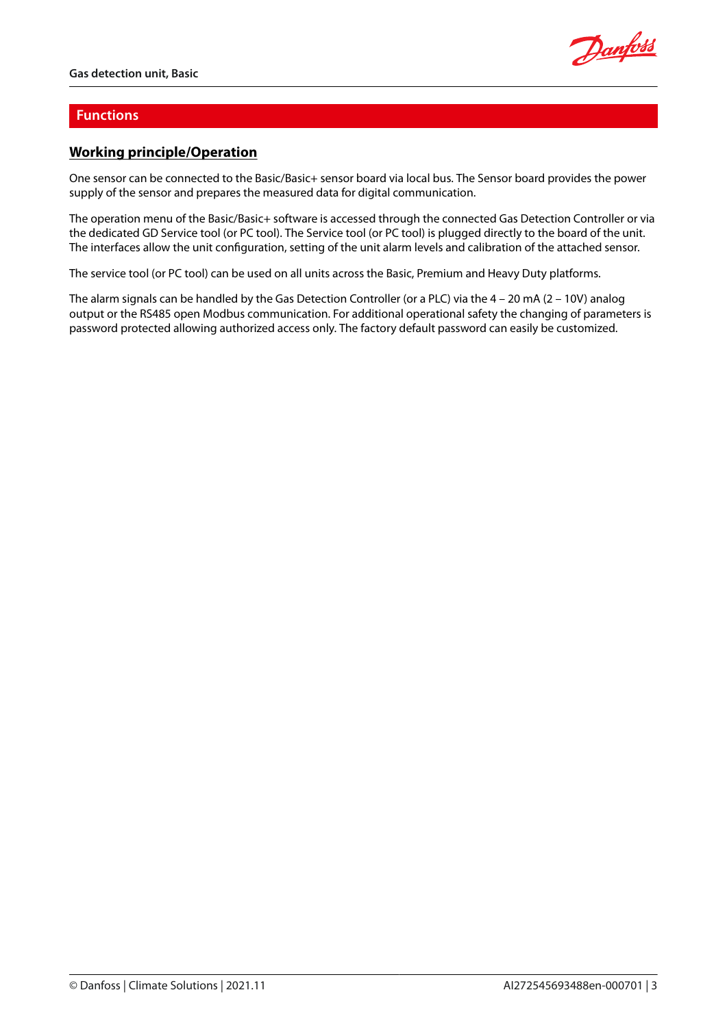

### **Functions**

# **Working principle/Operation**

One sensor can be connected to the Basic/Basic+ sensor board via local bus. The Sensor board provides the power supply of the sensor and prepares the measured data for digital communication.

The operation menu of the Basic/Basic+ software is accessed through the connected Gas Detection Controller or via the dedicated GD Service tool (or PC tool). The Service tool (or PC tool) is plugged directly to the board of the unit. The interfaces allow the unit configuration, setting of the unit alarm levels and calibration of the attached sensor.

The service tool (or PC tool) can be used on all units across the Basic, Premium and Heavy Duty platforms.

The alarm signals can be handled by the Gas Detection Controller (or a PLC) via the 4 – 20 mA (2 – 10V) analog output or the RS485 open Modbus communication. For additional operational safety the changing of parameters is password protected allowing authorized access only. The factory default password can easily be customized.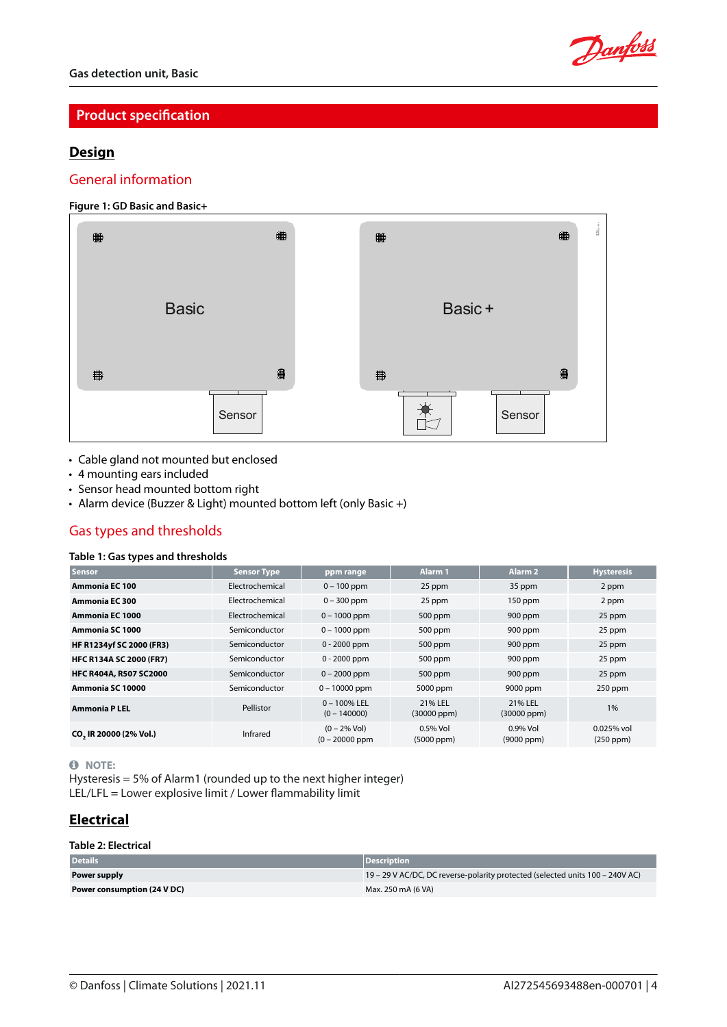

# **Product specification**

### **Design**

### General information

### **Figure 1: GD Basic and Basic+**



- Cable gland not mounted but enclosed
- 4 mounting ears included
- Sensor head mounted bottom right
- Alarm device (Buzzer & Light) mounted bottom left (only Basic +)

# Gas types and thresholds

### **Table 1: Gas types and thresholds**

| <b>Sensor</b>                      | <b>Sensor Type</b> | ppm range                           | Alarm <sub>1</sub>            | Alarm <sub>2</sub>             | <b>Hysteresis</b>         |
|------------------------------------|--------------------|-------------------------------------|-------------------------------|--------------------------------|---------------------------|
| <b>Ammonia EC 100</b>              | Electrochemical    | $0 - 100$ ppm                       | 25 ppm                        | 35 ppm                         | 2 ppm                     |
| Ammonia EC 300                     | Electrochemical    | $0 - 300$ ppm                       | 25 ppm                        | $150$ ppm                      | 2 ppm                     |
| Ammonia EC 1000                    | Electrochemical    | $0 - 1000$ ppm                      | 500 ppm                       | 900 ppm                        | 25 ppm                    |
| Ammonia SC 1000                    | Semiconductor      | $0 - 1000$ ppm                      | 500 ppm                       | 900 ppm                        | 25 ppm                    |
| HF R1234yf SC 2000 (FR3)           | Semiconductor      | $0 - 2000$ ppm                      | 500 ppm                       | $900$ ppm                      | 25 ppm                    |
| <b>HFC R134A SC 2000 (FR7)</b>     | Semiconductor      | $0 - 2000$ ppm                      | 500 ppm                       | 900 ppm                        | 25 ppm                    |
| <b>HFC R404A, R507 SC2000</b>      | Semiconductor      | $0 - 2000$ ppm                      | 500 ppm                       | 900 ppm                        | 25 ppm                    |
| Ammonia SC 10000                   | Semiconductor      | $0 - 10000$ ppm                     | 5000 ppm                      | 9000 ppm                       | 250 ppm                   |
| <b>Ammonia P LEL</b>               | Pellistor          | $0 - 100\%$ LEL<br>$(0 - 140000)$   | 21% LEL<br>(30000 ppm)        | 21% LEL<br>$(30000$ ppm $)$    | 1%                        |
| CO <sub>2</sub> IR 20000 (2% Vol.) | Infrared           | $(0 - 2\%$ Vol)<br>$(0 - 20000$ ppm | $0.5%$ Vol<br>$(5000$ ppm $)$ | $0.9\%$ Vol<br>$(9000$ ppm $)$ | $0.025%$ vol<br>(250 ppm) |

#### **0** NOTE:

Hysteresis = 5% of Alarm1 (rounded up to the next higher integer) LEL/LFL = Lower explosive limit / Lower flammability limit

# **Electrical**

#### **Table 2: Electrical**

| <b>Details</b>              | <b>Description</b>                                                            |
|-----------------------------|-------------------------------------------------------------------------------|
| Power supply                | 19 – 29 V AC/DC, DC reverse-polarity protected (selected units 100 – 240V AC) |
| Power consumption (24 V DC) | Max. 250 mA (6 VA)                                                            |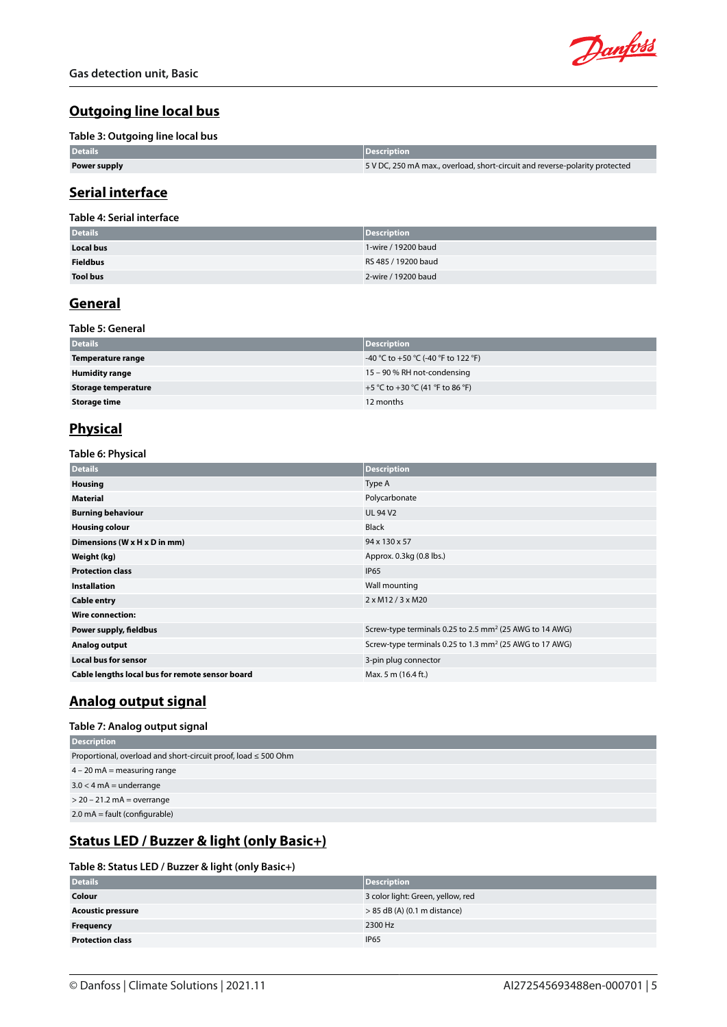

# **Outgoing line local bus**

#### **Table 3: Outgoing line local bus**

| <b>Details</b> | <b>Description</b>                                                          |
|----------------|-----------------------------------------------------------------------------|
| Power supply   | 5 V DC, 250 mA max., overload, short-circuit and reverse-polarity protected |

### **Serial interface**

### **Table 4: Serial interface**

| <b>Details</b>   | <b>Description</b>  |
|------------------|---------------------|
| <b>Local bus</b> | 1-wire / 19200 baud |
| <b>Fieldbus</b>  | RS 485 / 19200 baud |
| <b>Tool bus</b>  | 2-wire / 19200 baud |

# **General**

### **Table 5: General**

| <b>Details</b>             | <b>Description</b>                  |
|----------------------------|-------------------------------------|
| Temperature range          | -40 °C to +50 °C (-40 °F to 122 °F) |
| <b>Humidity range</b>      | 15 - 90 % RH not-condensing         |
| <b>Storage temperature</b> | +5 °C to +30 °C (41 °F to 86 °F)    |
| <b>Storage time</b>        | 12 months                           |

# **Physical**

**Table 6: Physical**

| <b>Details</b>                                  | <b>Description</b>                                                  |
|-------------------------------------------------|---------------------------------------------------------------------|
| <b>Housing</b>                                  | Type A                                                              |
| <b>Material</b>                                 | Polycarbonate                                                       |
| <b>Burning behaviour</b>                        | <b>UL 94 V2</b>                                                     |
| <b>Housing colour</b>                           | <b>Black</b>                                                        |
| Dimensions (W x H x D in mm)                    | 94 x 130 x 57                                                       |
| Weight (kg)                                     | Approx. 0.3kg (0.8 lbs.)                                            |
| <b>Protection class</b>                         | <b>IP65</b>                                                         |
| <b>Installation</b>                             | Wall mounting                                                       |
| <b>Cable entry</b>                              | $2 \times M12 / 3 \times M20$                                       |
| <b>Wire connection:</b>                         |                                                                     |
| Power supply, fieldbus                          | Screw-type terminals 0.25 to 2.5 mm <sup>2</sup> (25 AWG to 14 AWG) |
| Analog output                                   | Screw-type terminals 0.25 to 1.3 mm <sup>2</sup> (25 AWG to 17 AWG) |
| <b>Local bus for sensor</b>                     | 3-pin plug connector                                                |
| Cable lengths local bus for remote sensor board | Max. 5 m (16.4 ft.)                                                 |

# **Analog output signal**

### **Table 7: Analog output signal**

| <b>Description</b>                                                  |
|---------------------------------------------------------------------|
| Proportional, overload and short-circuit proof, load $\leq$ 500 Ohm |
| $4 - 20$ mA = measuring range                                       |
| $3.0 < 4$ mA = underrange                                           |
| $>$ 20 – 21.2 mA = overrange                                        |
| $2.0 \text{ mA} = \text{fault}$ (configurable)                      |

# **Status LED / Buzzer & light (only Basic+)**

#### **Table 8: Status LED / Buzzer & light (only Basic+)**

| <b>Details</b>           | <b>Description</b>                |
|--------------------------|-----------------------------------|
| Colour                   | 3 color light: Green, yellow, red |
| <b>Acoustic pressure</b> | $> 85$ dB (A) (0.1 m distance)    |
| <b>Frequency</b>         | 2300 Hz                           |
| <b>Protection class</b>  | <b>IP65</b>                       |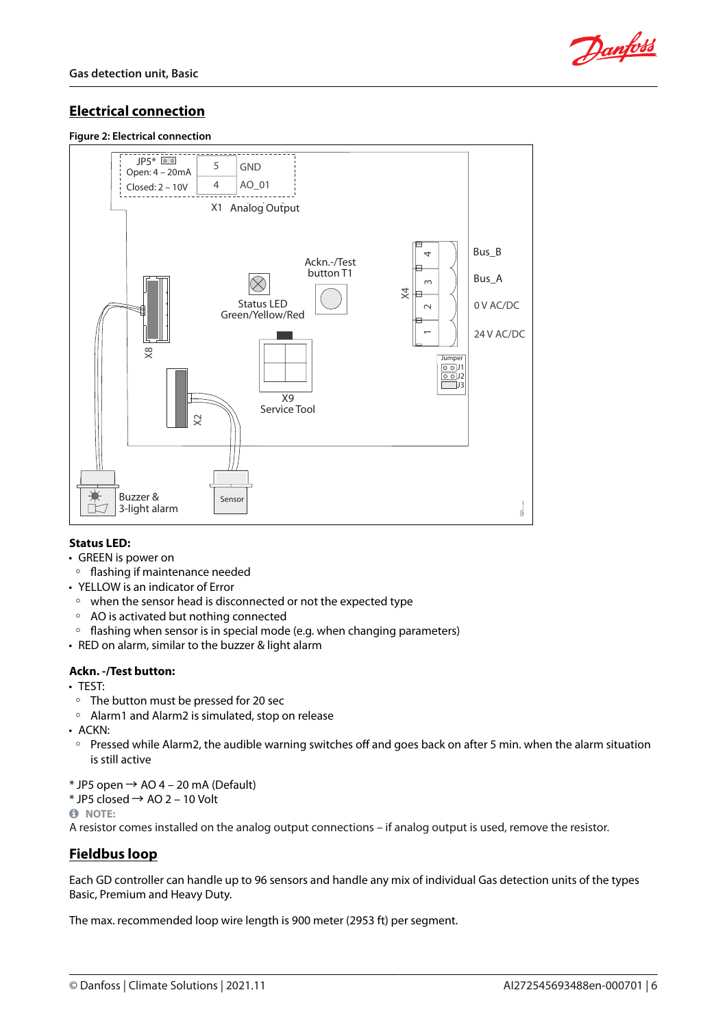

# **Electrical connection**

#### **Figure 2: Electrical connection**



### **Status LED:**

- GREEN is power on
- flashing if maintenance needed
- YELLOW is an indicator of Error
- when the sensor head is disconnected or not the expected type
- AO is activated but nothing connected
- flashing when sensor is in special mode (e.g. when changing parameters)
- RED on alarm, similar to the buzzer & light alarm

### **Ackn. -/Test button:**

- TEST:
- The button must be pressed for 20 sec
- Alarm1 and Alarm2 is simulated, stop on release
- ACKN:
- Pressed while Alarm2, the audible warning switches off and goes back on after 5 min. when the alarm situation is still active
- $*$  JP5 open  $\rightarrow$  AO 4 20 mA (Default)
- $*$  JP5 closed  $\rightarrow$  AO 2 10 Volt

**NOTE:** 

A resistor comes installed on the analog output connections – if analog output is used, remove the resistor.

# **Fieldbus loop**

Each GD controller can handle up to 96 sensors and handle any mix of individual Gas detection units of the types Basic, Premium and Heavy Duty.

The max. recommended loop wire length is 900 meter (2953 ft) per segment.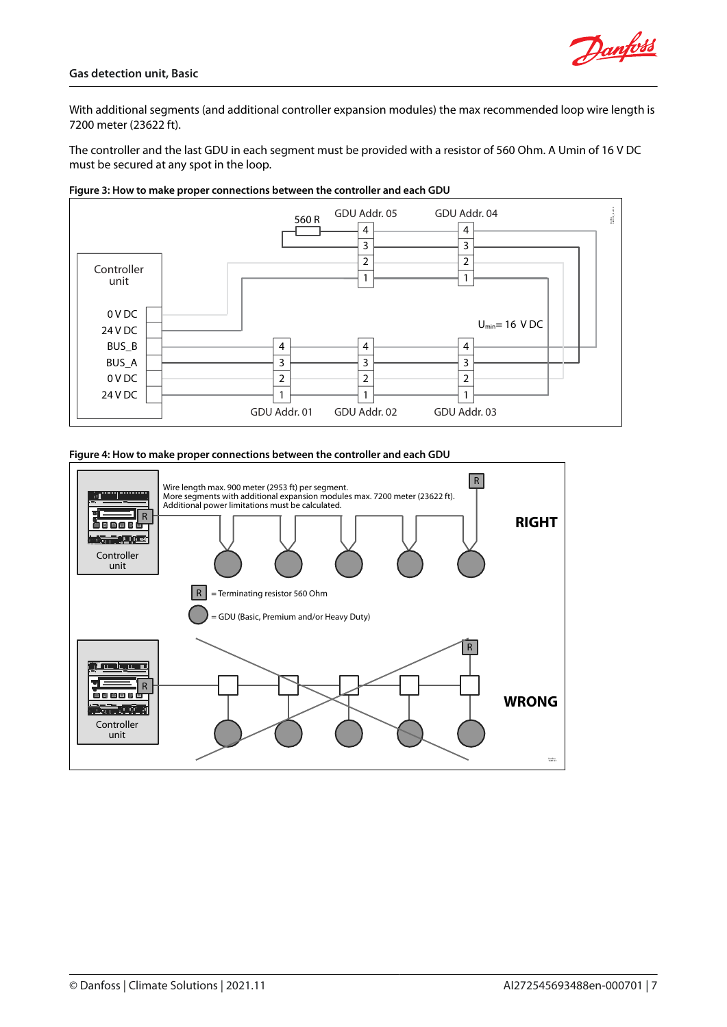With additional segments (and additional controller expansion modules) the max recommended loop wire length is 7200 meter (23622 ft).

The controller and the last GDU in each segment must be provided with a resistor of 560 Ohm. A Umin of 16 V DC must be secured at any spot in the loop.



#### **Figure 3: How to make proper connections between the controller and each GDU**



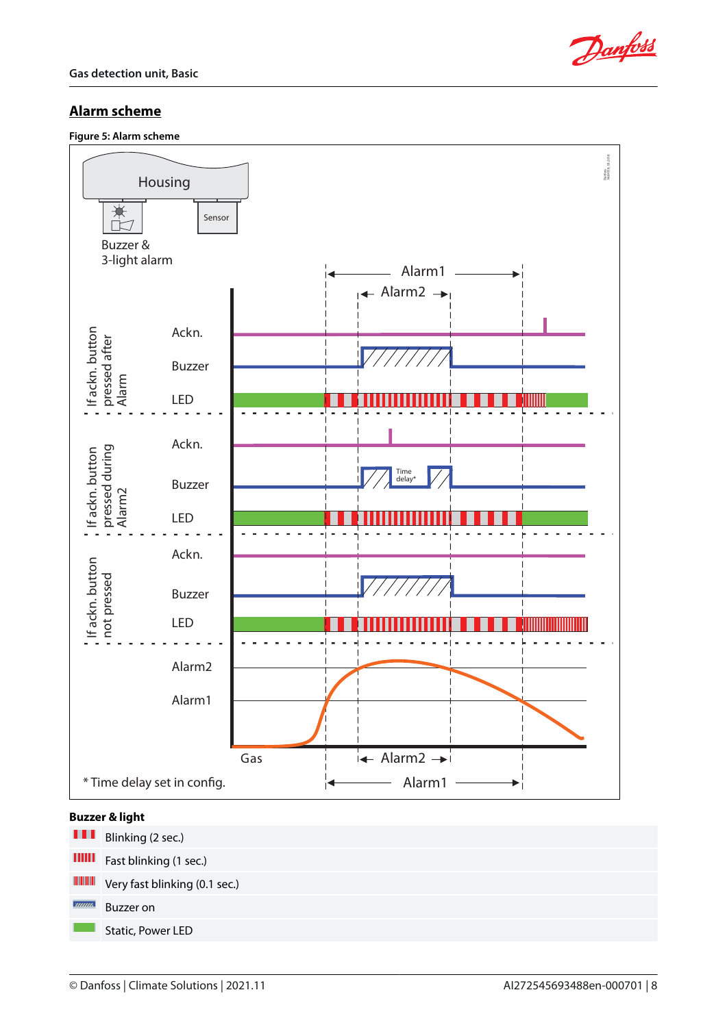

# **Alarm scheme**

**Figure 5: Alarm scheme**



### **Buzzer & light**

m Blinking (2 sec.)  $\mathbf{III} \mathbf{II}$ Fast blinking (1 sec.) Very fast blinking (0.1 sec.)  $\overline{mm}$ Buzzer on Static, Power LED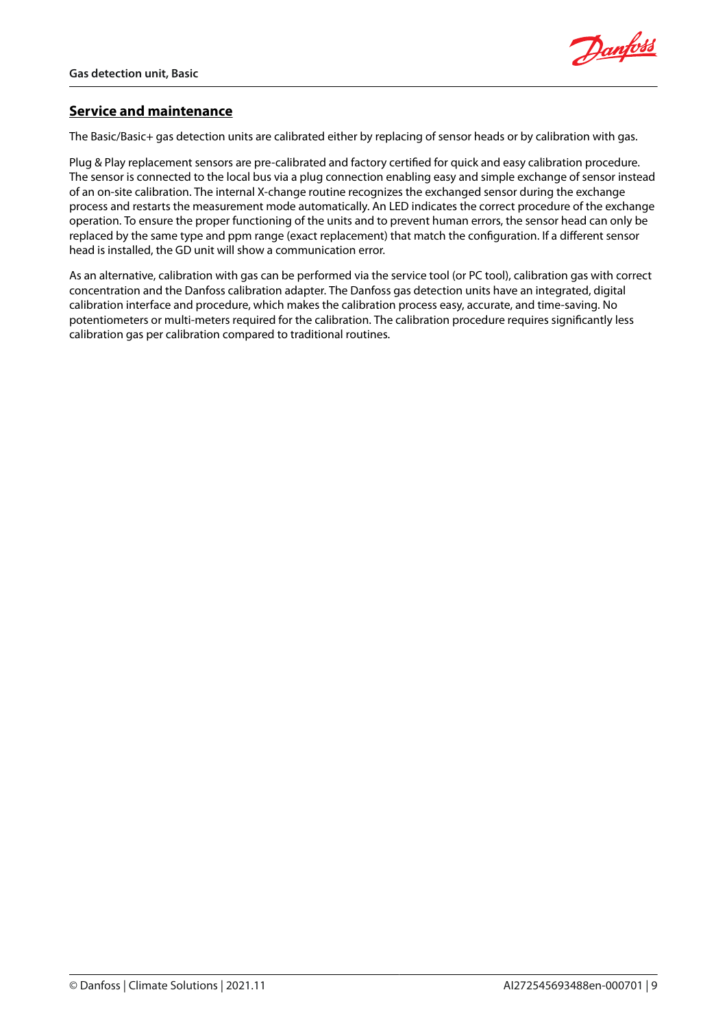

# **Service and maintenance**

The Basic/Basic+ gas detection units are calibrated either by replacing of sensor heads or by calibration with gas.

Plug & Play replacement sensors are pre-calibrated and factory certified for quick and easy calibration procedure. The sensor is connected to the local bus via a plug connection enabling easy and simple exchange of sensor instead of an on-site calibration. The internal X-change routine recognizes the exchanged sensor during the exchange process and restarts the measurement mode automatically. An LED indicates the correct procedure of the exchange operation. To ensure the proper functioning of the units and to prevent human errors, the sensor head can only be replaced by the same type and ppm range (exact replacement) that match the configuration. If a different sensor head is installed, the GD unit will show a communication error.

As an alternative, calibration with gas can be performed via the service tool (or PC tool), calibration gas with correct concentration and the Danfoss calibration adapter. The Danfoss gas detection units have an integrated, digital calibration interface and procedure, which makes the calibration process easy, accurate, and time-saving. No potentiometers or multi-meters required for the calibration. The calibration procedure requires significantly less calibration gas per calibration compared to traditional routines.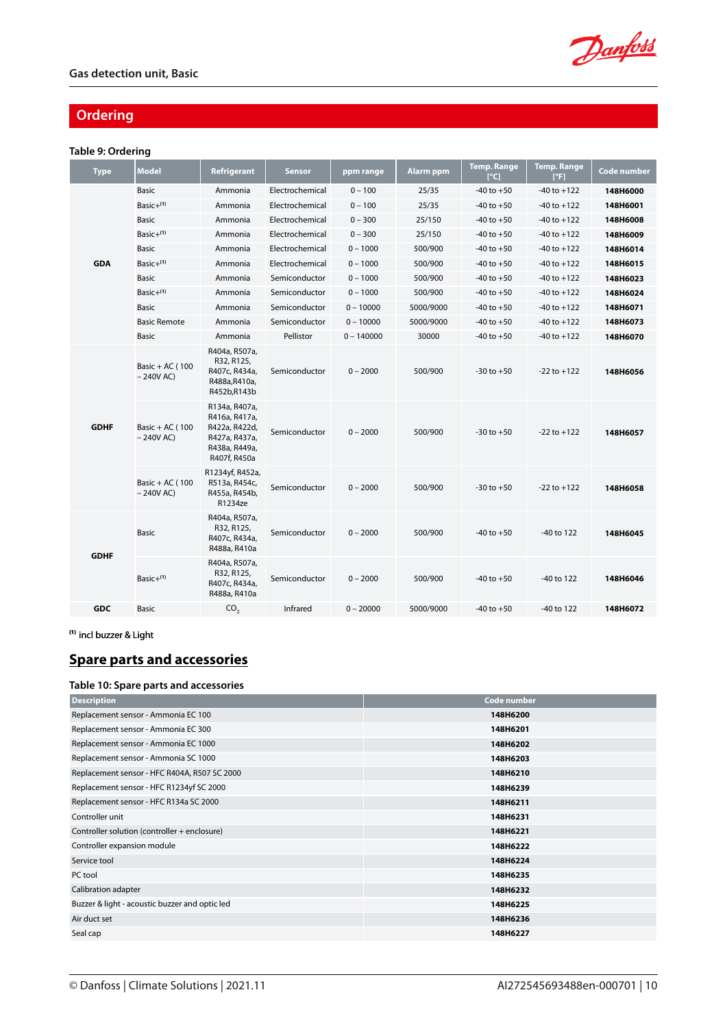Danfoss

# **Ordering**

### **Table 9: Ordering**

| <b>Type</b> | <b>Model</b>                   | Refrigerant                                                                                       | <b>Sensor</b>   | ppm range    | <b>Alarm ppm</b> | <b>Temp. Range</b><br>[°C] | <b>Temp. Range</b><br>[°F] | Code number |
|-------------|--------------------------------|---------------------------------------------------------------------------------------------------|-----------------|--------------|------------------|----------------------------|----------------------------|-------------|
|             | <b>Basic</b>                   | Ammonia                                                                                           | Electrochemical | $0 - 100$    | 25/35            | $-40$ to $+50$             | $-40$ to $+122$            | 148H6000    |
|             | Basic $+^{(1)}$                | Ammonia                                                                                           | Electrochemical | $0 - 100$    | 25/35            | $-40$ to $+50$             | $-40$ to $+122$            | 148H6001    |
|             | Basic                          | Ammonia                                                                                           | Electrochemical | $0 - 300$    | 25/150           | $-40$ to $+50$             | $-40$ to $+122$            | 148H6008    |
|             | Basic $+(1)$                   | Ammonia                                                                                           | Electrochemical | $0 - 300$    | 25/150           | $-40$ to $+50$             | $-40$ to $+122$            | 148H6009    |
|             | <b>Basic</b>                   | Ammonia                                                                                           | Electrochemical | $0 - 1000$   | 500/900          | $-40$ to $+50$             | $-40$ to $+122$            | 148H6014    |
| <b>GDA</b>  | $Basic+(1)$                    | Ammonia                                                                                           | Electrochemical | $0 - 1000$   | 500/900          | $-40$ to $+50$             | $-40$ to $+122$            | 148H6015    |
|             | Basic                          | Ammonia                                                                                           | Semiconductor   | $0 - 1000$   | 500/900          | $-40$ to $+50$             | $-40$ to $+122$            | 148H6023    |
|             | Basic+(1)                      | Ammonia                                                                                           | Semiconductor   | $0 - 1000$   | 500/900          | $-40$ to $+50$             | $-40$ to $+122$            | 148H6024    |
|             | Basic                          | Ammonia                                                                                           | Semiconductor   | $0 - 10000$  | 5000/9000        | $-40$ to $+50$             | $-40$ to $+122$            | 148H6071    |
|             | <b>Basic Remote</b>            | Ammonia                                                                                           | Semiconductor   | $0 - 10000$  | 5000/9000        | $-40$ to $+50$             | $-40$ to $+122$            | 148H6073    |
|             | <b>Basic</b>                   | Ammonia                                                                                           | Pellistor       | $0 - 140000$ | 30000            | $-40$ to $+50$             | $-40$ to $+122$            | 148H6070    |
|             | Basic + AC (100<br>$-240V$ AC) | R404a, R507a,<br>R32, R125,<br>R407c, R434a,<br>R488a, R410a,<br>R452b,R143b                      | Semiconductor   | $0 - 2000$   | 500/900          | $-30$ to $+50$             | $-22$ to $+122$            | 148H6056    |
| <b>GDHF</b> | Basic + AC (100<br>$-240V$ AC) | R134a, R407a,<br>R416a, R417a,<br>R422a, R422d,<br>R427a, R437a,<br>R438a, R449a,<br>R407f, R450a | Semiconductor   | $0 - 2000$   | 500/900          | $-30$ to $+50$             | $-22$ to $+122$            | 148H6057    |
|             | Basic + AC (100<br>$-240V$ AC) | R1234yf, R452a,<br>R513a, R454c,<br>R455a, R454b,<br>R1234ze                                      | Semiconductor   | $0 - 2000$   | 500/900          | $-30$ to $+50$             | $-22$ to $+122$            | 148H6058    |
| <b>GDHF</b> | <b>Basic</b>                   | R404a, R507a,<br>R32, R125,<br>R407c, R434a,<br>R488a, R410a                                      | Semiconductor   | $0 - 2000$   | 500/900          | $-40$ to $+50$             | -40 to 122                 | 148H6045    |
|             | Basic+(1)                      | R404a, R507a,<br>R32, R125,<br>R407c, R434a,<br>R488a, R410a                                      | Semiconductor   | $0 - 2000$   | 500/900          | $-40$ to $+50$             | -40 to 122                 | 148H6046    |
| <b>GDC</b>  | Basic                          | CO <sub>2</sub>                                                                                   | Infrared        | $0 - 20000$  | 5000/9000        | $-40$ to $+50$             | -40 to 122                 | 148H6072    |

**(1)** incl buzzer & Light

# **Spare parts and accessories**

### **Table 10: Spare parts and accessories**

| <b>Description</b>                             | <b>Code number</b> |
|------------------------------------------------|--------------------|
| Replacement sensor - Ammonia EC 100            | 148H6200           |
| Replacement sensor - Ammonia EC 300            | 148H6201           |
| Replacement sensor - Ammonia EC 1000           | 148H6202           |
| Replacement sensor - Ammonia SC 1000           | 148H6203           |
| Replacement sensor - HFC R404A, R507 SC 2000   | 148H6210           |
| Replacement sensor - HFC R1234yf SC 2000       | 148H6239           |
| Replacement sensor - HFC R134a SC 2000         | 148H6211           |
| Controller unit                                | 148H6231           |
| Controller solution (controller + enclosure)   | 148H6221           |
| Controller expansion module                    | 148H6222           |
| Service tool                                   | 148H6224           |
| PC tool                                        | 148H6235           |
| Calibration adapter                            | 148H6232           |
| Buzzer & light - acoustic buzzer and optic led | 148H6225           |
| Air duct set                                   | 148H6236           |
| Seal cap                                       | 148H6227           |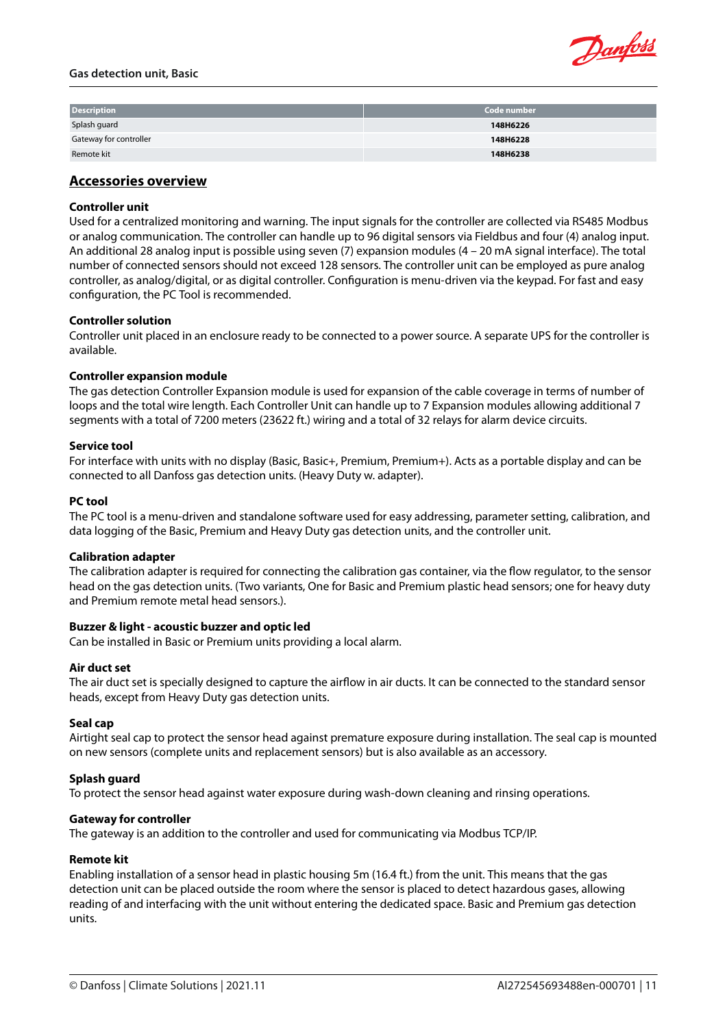#### **Gas detection unit, Basic**



| <b>Description</b>            | Code number |
|-------------------------------|-------------|
| Splash guard                  | 148H6226    |
| <b>Gateway for controller</b> | 148H6228    |
| Remote kit                    | 148H6238    |

### **Accessories overview**

### **Controller unit**

Used for a centralized monitoring and warning. The input signals for the controller are collected via RS485 Modbus or analog communication. The controller can handle up to 96 digital sensors via Fieldbus and four (4) analog input. An additional 28 analog input is possible using seven (7) expansion modules (4 – 20 mA signal interface). The total number of connected sensors should not exceed 128 sensors. The controller unit can be employed as pure analog controller, as analog/digital, or as digital controller. Configuration is menu-driven via the keypad. For fast and easy configuration, the PC Tool is recommended.

### **Controller solution**

Controller unit placed in an enclosure ready to be connected to a power source. A separate UPS for the controller is available.

### **Controller expansion module**

The gas detection Controller Expansion module is used for expansion of the cable coverage in terms of number of loops and the total wire length. Each Controller Unit can handle up to 7 Expansion modules allowing additional 7 segments with a total of 7200 meters (23622 ft.) wiring and a total of 32 relays for alarm device circuits.

### **Service tool**

For interface with units with no display (Basic, Basic+, Premium, Premium+). Acts as a portable display and can be connected to all Danfoss gas detection units. (Heavy Duty w. adapter).

### **PC tool**

The PC tool is a menu-driven and standalone software used for easy addressing, parameter setting, calibration, and data logging of the Basic, Premium and Heavy Duty gas detection units, and the controller unit.

### **Calibration adapter**

The calibration adapter is required for connecting the calibration gas container, via the flow regulator, to the sensor head on the gas detection units. (Two variants, One for Basic and Premium plastic head sensors; one for heavy duty and Premium remote metal head sensors.).

### **Buzzer & light - acoustic buzzer and optic led**

Can be installed in Basic or Premium units providing a local alarm.

### **Air duct set**

The air duct set is specially designed to capture the airflow in air ducts. It can be connected to the standard sensor heads, except from Heavy Duty gas detection units.

### **Seal cap**

Airtight seal cap to protect the sensor head against premature exposure during installation. The seal cap is mounted on new sensors (complete units and replacement sensors) but is also available as an accessory.

### **Splash guard**

To protect the sensor head against water exposure during wash-down cleaning and rinsing operations.

### **Gateway for controller**

The gateway is an addition to the controller and used for communicating via Modbus TCP/IP.

### **Remote kit**

Enabling installation of a sensor head in plastic housing 5m (16.4 ft.) from the unit. This means that the gas detection unit can be placed outside the room where the sensor is placed to detect hazardous gases, allowing reading of and interfacing with the unit without entering the dedicated space. Basic and Premium gas detection units.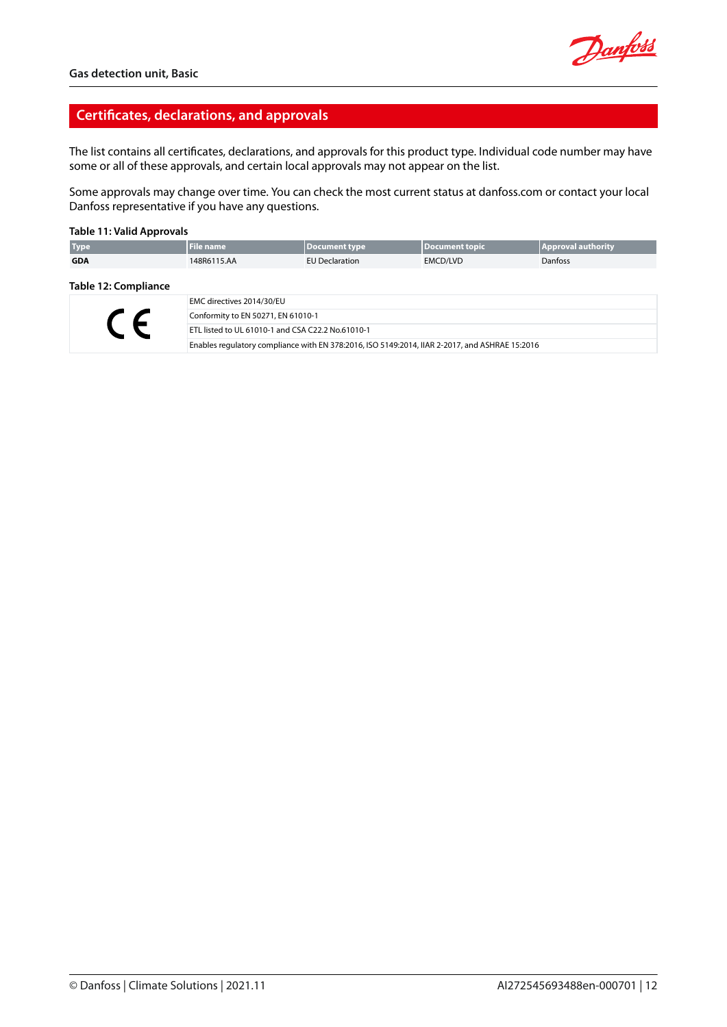

### **Certificates, declarations, and approvals**

The list contains all certificates, declarations, and approvals for this product type. Individual code number may have some or all of these approvals, and certain local approvals may not appear on the list.

Some approvals may change over time. You can check the most current status at danfoss.com or contact your local Danfoss representative if you have any questions.

#### **Table 11: Valid Approvals**

| <b>Type</b>          | <b>File name</b> | Document type         | Document topic  | <b>Approval authority</b> |
|----------------------|------------------|-----------------------|-----------------|---------------------------|
| <b>GDA</b>           | 148R6115.AA      | <b>EU Declaration</b> | <b>EMCD/LVD</b> | <b>Danfoss</b>            |
| Table 12: Compliance |                  |                       |                 |                           |

#### **Table 12: Compliance**

|  | EMC directives 2014/30/EU                                                                      |
|--|------------------------------------------------------------------------------------------------|
|  | Conformity to EN 50271, EN 61010-1                                                             |
|  | <b>ETL listed to UL 61010-1 and CSA C22.2 No.61010-1</b>                                       |
|  | Enables regulatory compliance with EN 378:2016, ISO 5149:2014, IIAR 2-2017, and ASHRAE 15:2016 |